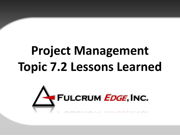# **Project Management Topic 7.2 Lessons Learned**

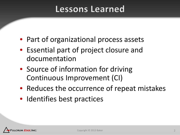#### **Lessons Learned**

- Part of organizational process assets
- Essential part of project closure and documentation
- Source of information for driving Continuous Improvement (CI)
- Reduces the occurrence of repeat mistakes
- Identifies best practices

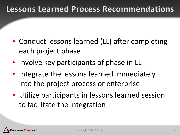#### **Lessons Learned Process Recommendations**

- Conduct lessons learned (LL) after completing each project phase
- Involve key participants of phase in LL
- Integrate the lessons learned immediately into the project process or enterprise
- Utilize participants in lessons learned session to facilitate the integration

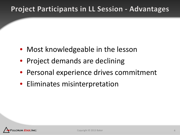#### **Project Participants in LL Session - Advantages**

- Most knowledgeable in the lesson
- Project demands are declining
- Personal experience drives commitment
- Eliminates misinterpretation

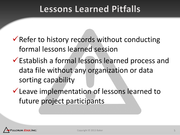### **Lessons Learned Pitfalls**

- $\checkmark$  Refer to history records without conducting formal lessons learned session
- Establish a formal lessons learned process and data file without any organization or data sorting capability
- Leave implementation of lessons learned to future project participants

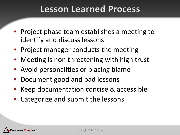#### **Lesson Learned Process**

- Project phase team establishes a meeting to identify and discuss lessons
- Project manager conducts the meeting
- Meeting is non threatening with high trust
- Avoid personalities or placing blame
- Document good and bad lessons
- Keep documentation concise & accessible
- Categorize and submit the lessons

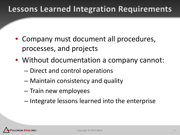#### **Lessons Learned Integration Requirements**

- Company must document all procedures, processes, and projects
- Without documentation a company cannot:
	- Direct and control operations
	- Maintain consistency and quality
	- Train new employees
	- Integrate lessons learned into the enterprise

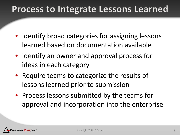## **Process to Integrate Lessons Learned**

- Identify broad categories for assigning lessons learned based on documentation available
- Identify an owner and approval process for ideas in each category
- Require teams to categorize the results of lessons learned prior to submission
- Process lessons submitted by the teams for approval and incorporation into the enterprise